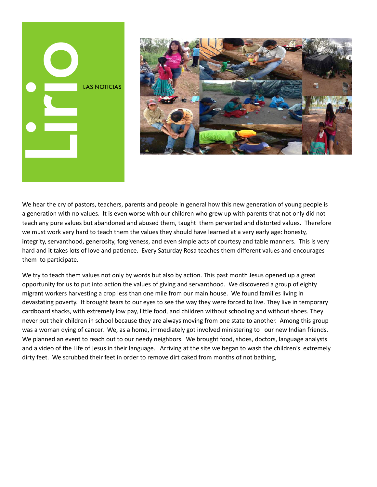



We hear the cry of pastors, teachers, parents and people in general how this new generation of young people is a generation with no values. It is even worse with our children who grew up with parents that not only did not teach any pure values but abandoned and abused them, taught them perverted and distorted values. Therefore we must work very hard to teach them the values they should have learned at a very early age: honesty, integrity, servanthood, generosity, forgiveness, and even simple acts of courtesy and table manners. This is very hard and it takes lots of love and patience. Every Saturday Rosa teaches them different values and encourages them to participate.

We try to teach them values not only by words but also by action. This past month Jesus opened up a great opportunity for us to put into action the values of giving and servanthood. We discovered a group of eighty migrant workers harvesting a crop less than one mile from our main house. We found families living in devastating poverty. It brought tears to our eyes to see the way they were forced to live. They live in temporary cardboard shacks, with extremely low pay, little food, and children without schooling and without shoes. They never put their children in school because they are always moving from one state to another. Among this group was a woman dying of cancer. We, as a home, immediately got involved ministering to our new Indian friends. We planned an event to reach out to our needy neighbors. We brought food, shoes, doctors, language analysts and a video of the Life of Jesus in their language. Arriving at the site we began to wash the children's extremely dirty feet. We scrubbed their feet in order to remove dirt caked from months of not bathing,